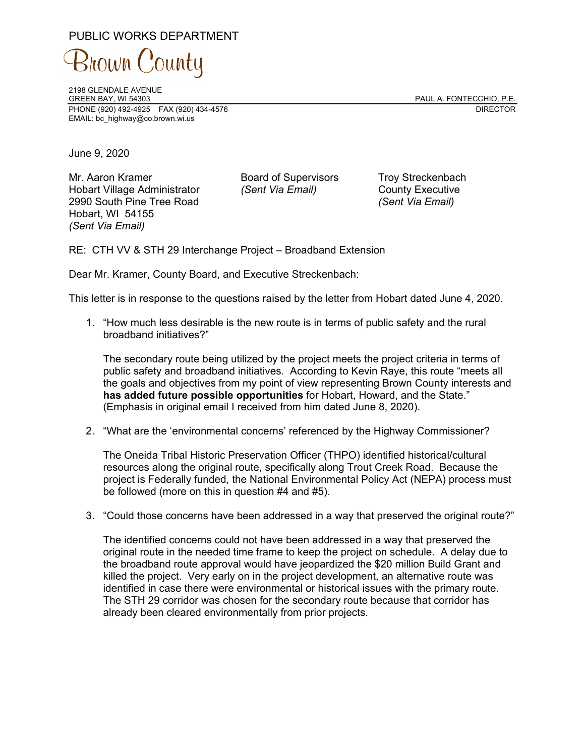## PUBLIC WORKS DEPARTMENT

3nown County

2198 GLENDALE AVENUE PHONE (920) 492-4925 FAX (920) 434-4576 DIRECTOR EMAIL: bc\_highway@co.brown.wi.us

PAUL A. FONTECCHIO, P.E.

June 9, 2020

Mr. Aaron Kramer Board of Supervisors Troy Streckenbach Hobart Village Administrator *(Sent Via Email)* County Executive 2990 South Pine Tree Road *(Sent Via Email)* Hobart, WI 54155 *(Sent Via Email)* 

RE: CTH VV & STH 29 Interchange Project – Broadband Extension

Dear Mr. Kramer, County Board, and Executive Streckenbach:

This letter is in response to the questions raised by the letter from Hobart dated June 4, 2020.

1. "How much less desirable is the new route is in terms of public safety and the rural broadband initiatives?"

The secondary route being utilized by the project meets the project criteria in terms of public safety and broadband initiatives. According to Kevin Raye, this route "meets all the goals and objectives from my point of view representing Brown County interests and **has added future possible opportunities** for Hobart, Howard, and the State." (Emphasis in original email I received from him dated June 8, 2020).

2. "What are the 'environmental concerns' referenced by the Highway Commissioner?

The Oneida Tribal Historic Preservation Officer (THPO) identified historical/cultural resources along the original route, specifically along Trout Creek Road. Because the project is Federally funded, the National Environmental Policy Act (NEPA) process must be followed (more on this in question #4 and #5).

3. "Could those concerns have been addressed in a way that preserved the original route?"

The identified concerns could not have been addressed in a way that preserved the original route in the needed time frame to keep the project on schedule. A delay due to the broadband route approval would have jeopardized the \$20 million Build Grant and killed the project. Very early on in the project development, an alternative route was identified in case there were environmental or historical issues with the primary route. The STH 29 corridor was chosen for the secondary route because that corridor has already been cleared environmentally from prior projects.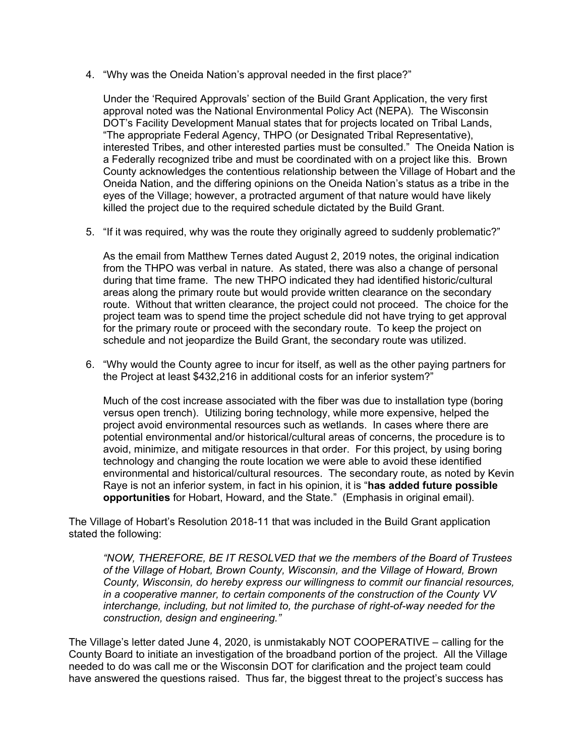4. "Why was the Oneida Nation's approval needed in the first place?"

Under the 'Required Approvals' section of the Build Grant Application, the very first approval noted was the National Environmental Policy Act (NEPA). The Wisconsin DOT's Facility Development Manual states that for projects located on Tribal Lands, "The appropriate Federal Agency, THPO (or Designated Tribal Representative), interested Tribes, and other interested parties must be consulted." The Oneida Nation is a Federally recognized tribe and must be coordinated with on a project like this. Brown County acknowledges the contentious relationship between the Village of Hobart and the Oneida Nation, and the differing opinions on the Oneida Nation's status as a tribe in the eyes of the Village; however, a protracted argument of that nature would have likely killed the project due to the required schedule dictated by the Build Grant.

5. "If it was required, why was the route they originally agreed to suddenly problematic?"

As the email from Matthew Ternes dated August 2, 2019 notes, the original indication from the THPO was verbal in nature. As stated, there was also a change of personal during that time frame. The new THPO indicated they had identified historic/cultural areas along the primary route but would provide written clearance on the secondary route. Without that written clearance, the project could not proceed. The choice for the project team was to spend time the project schedule did not have trying to get approval for the primary route or proceed with the secondary route. To keep the project on schedule and not jeopardize the Build Grant, the secondary route was utilized.

6. "Why would the County agree to incur for itself, as well as the other paying partners for the Project at least \$432,216 in additional costs for an inferior system?"

Much of the cost increase associated with the fiber was due to installation type (boring versus open trench). Utilizing boring technology, while more expensive, helped the project avoid environmental resources such as wetlands. In cases where there are potential environmental and/or historical/cultural areas of concerns, the procedure is to avoid, minimize, and mitigate resources in that order. For this project, by using boring technology and changing the route location we were able to avoid these identified environmental and historical/cultural resources. The secondary route, as noted by Kevin Raye is not an inferior system, in fact in his opinion, it is "**has added future possible opportunities** for Hobart, Howard, and the State." (Emphasis in original email).

The Village of Hobart's Resolution 2018-11 that was included in the Build Grant application stated the following:

*"NOW, THEREFORE, BE IT RESOLVED that we the members of the Board of Trustees of the Village of Hobart, Brown County, Wisconsin, and the Village of Howard, Brown County, Wisconsin, do hereby express our willingness to commit our financial resources, in a cooperative manner, to certain components of the construction of the County VV interchange, including, but not limited to, the purchase of right-of-way needed for the construction, design and engineering."* 

The Village's letter dated June 4, 2020, is unmistakably NOT COOPERATIVE – calling for the County Board to initiate an investigation of the broadband portion of the project. All the Village needed to do was call me or the Wisconsin DOT for clarification and the project team could have answered the questions raised. Thus far, the biggest threat to the project's success has